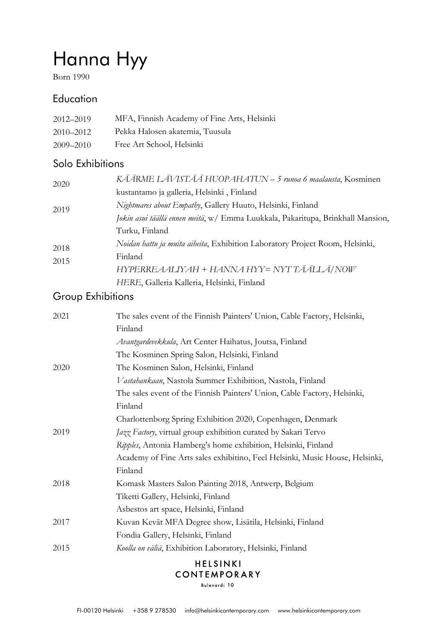# Hanna Hyy

Born 1990

## **Education**

| 2012–2019 | MFA, Finnish Academy of Fine Arts, Helsinki |
|-----------|---------------------------------------------|
| 2010–2012 | Pekka Halosen akatemia, Tuusula             |
| 2009–2010 | Free Art School, Helsinki                   |

## Solo Exhibitions

| 2020         | KÄÄRME LÄVISTÄÄ HUOPAHATUN - 5 runoa 6 maalausta, Kosminen                      |
|--------------|---------------------------------------------------------------------------------|
|              | kustantamo ja galleria, Helsinki, Finland                                       |
| 2019         | Nightmares about Empathy, Gallery Huuto, Helsinki, Finland                      |
|              | Jokin asui täällä ennen meitä, w/ Emma Luukkala, Pakaritupa, Brinkhall Mansion, |
| 2018<br>2015 | Turku, Finland                                                                  |
|              | Noidan hattu ja muita aiheita, Exhibition Laboratory Project Room, Helsinki,    |
|              | Finland                                                                         |
|              | HYPERREAALIYAH + HANNA HYY= NYT TÄÄLLÄ/NOW                                      |
|              | HERE, Galleria Kalleria, Helsinki, Finland                                      |
|              |                                                                                 |

## Group Exhibitions

| 2021 | The sales event of the Finnish Painters' Union, Cable Factory, Helsinki,     |
|------|------------------------------------------------------------------------------|
|      | Finland                                                                      |
|      | Avantgardevekkula, Art Center Haihatus, Joutsa, Finland                      |
|      | The Kosminen Spring Salon, Helsinki, Finland                                 |
| 2020 | The Kosminen Salon, Helsinki, Finland                                        |
|      | Vastahankaan, Nastola Summer Exhibition, Nastola, Finland                    |
|      | The sales event of the Finnish Painters' Union, Cable Factory, Helsinki,     |
|      | Finland                                                                      |
|      | Charlottenborg Spring Exhibition 2020, Copenhagen, Denmark                   |
| 2019 | Jazz Factory, virtual group exhibition curated by Sakari Tervo               |
|      | Ripples, Antonia Hamberg's home exhibition, Helsinki, Finland                |
|      | Academy of Fine Arts sales exhibitino, Feel Helsinki, Music House, Helsinki, |
|      | Finland                                                                      |
| 2018 | Komask Masters Salon Painting 2018, Antwerp, Belgium                         |
|      | Tiketti Gallery, Helsinki, Finland                                           |
|      | Asbestos art space, Helsinki, Finland                                        |
| 2017 | Kuvan Kevät MFA Degree show, Lisätila, Helsinki, Finland                     |
|      | Fondia Gallery, Helsinki, Finland                                            |
| 2015 | Koolla on väliä, Exhibition Laboratory, Helsinki, Finland                    |
|      | $\blacksquare$ iricini $\blacksquare$                                        |

#### **HELSINKI** CONTEMPORARY

Bulevardi 10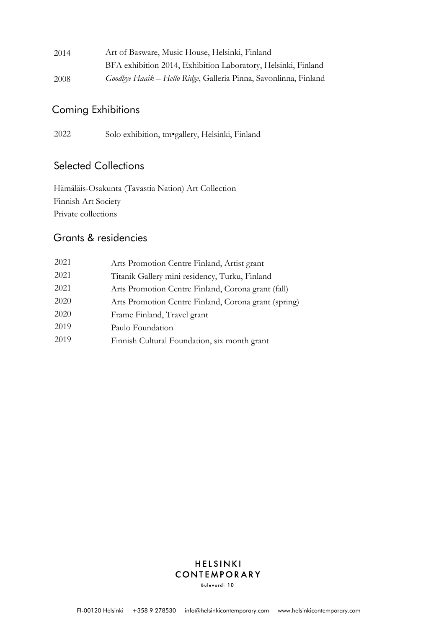| 2014 | Art of Basware, Music House, Helsinki, Finland                   |
|------|------------------------------------------------------------------|
|      | BFA exhibition 2014, Exhibition Laboratory, Helsinki, Finland    |
| 2008 | Goodbye Haaik - Hello Ridge, Galleria Pinna, Savonlinna, Finland |

#### Coming Exhibitions

2022 Solo exhibition, tm•gallery, Helsinki, Finland

#### Selected Collections

Hämäläis-Osakunta (Tavastia Nation) Art Collection Finnish Art Society Private collections

## Grants & residencies

| 2021 | Arts Promotion Centre Finland, Artist grant          |
|------|------------------------------------------------------|
| 2021 | Titanik Gallery mini residency, Turku, Finland       |
| 2021 | Arts Promotion Centre Finland, Corona grant (fall)   |
| 2020 | Arts Promotion Centre Finland, Corona grant (spring) |
| 2020 | Frame Finland, Travel grant                          |
| 2019 | Paulo Foundation                                     |
| 2019 | Finnish Cultural Foundation, six month grant         |
|      |                                                      |

#### HELSINKI CONTEMPORARY Bulevardi 10